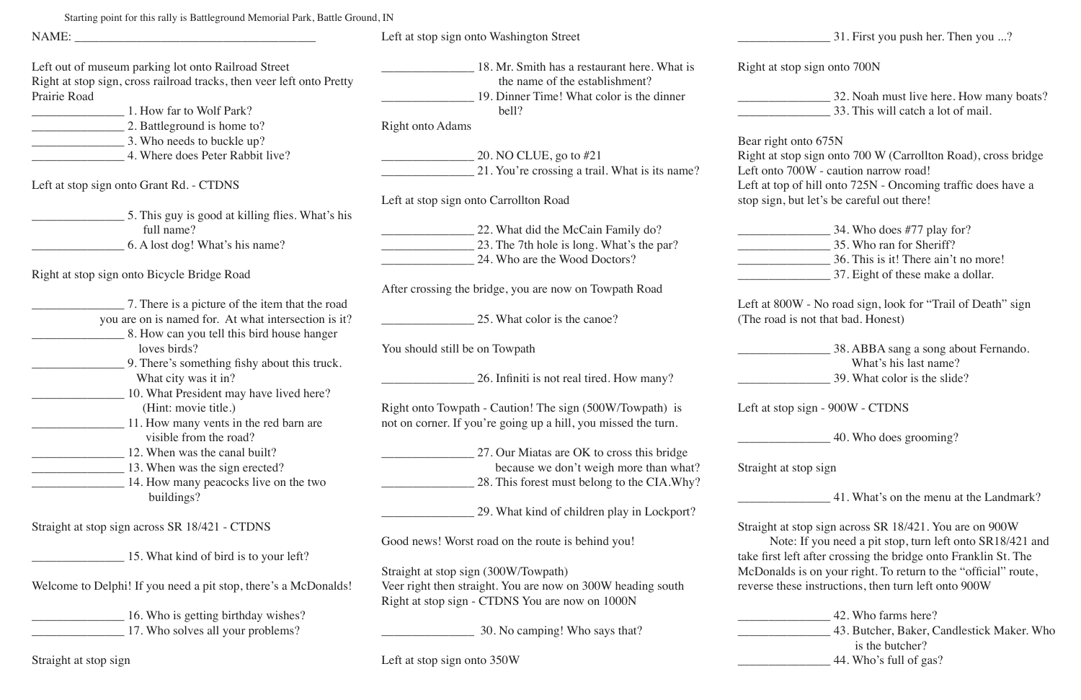|                                                                                                                              | Left at stop sign onto Washington Street                                       |                 |
|------------------------------------------------------------------------------------------------------------------------------|--------------------------------------------------------------------------------|-----------------|
| Left out of museum parking lot onto Railroad Street<br>Right at stop sign, cross railroad tracks, then veer left onto Pretty | 18. Mr. Smith has a restaurant here. What is<br>the name of the establishment? | Right at stop   |
| Prairie Road                                                                                                                 | 19. Dinner Time! What color is the dinner                                      |                 |
| 1. How far to Wolf Park?                                                                                                     | bell?                                                                          |                 |
| 2. Battleground is home to?                                                                                                  | <b>Right onto Adams</b>                                                        |                 |
| 3. Who needs to buckle up?                                                                                                   |                                                                                | Bear right or   |
| 4. Where does Peter Rabbit live?                                                                                             | 20. NO CLUE, go to #21                                                         | Right at stop   |
|                                                                                                                              | 21. You're crossing a trail. What is its name?                                 | Left onto 70    |
| Left at stop sign onto Grant Rd. - CTDNS                                                                                     |                                                                                | Left at top of  |
|                                                                                                                              | Left at stop sign onto Carrollton Road                                         | stop sign, bu   |
| 5. This guy is good at killing flies. What's his                                                                             |                                                                                |                 |
| full name?                                                                                                                   | 22. What did the McCain Family do?                                             |                 |
| 6. A lost dog! What's his name?                                                                                              | 23. The 7th hole is long. What's the par?                                      |                 |
|                                                                                                                              | 24. Who are the Wood Doctors?                                                  |                 |
| Right at stop sign onto Bicycle Bridge Road                                                                                  |                                                                                |                 |
|                                                                                                                              | After crossing the bridge, you are now on Towpath Road                         |                 |
| 7. There is a picture of the item that the road                                                                              |                                                                                | Left at 800W    |
|                                                                                                                              |                                                                                |                 |
| you are on is named for. At what intersection is it?                                                                         | 25. What color is the canoe?                                                   | (The road is    |
| 8. How can you tell this bird house hanger                                                                                   |                                                                                |                 |
| loves birds?                                                                                                                 | You should still be on Towpath                                                 |                 |
| 9. There's something fishy about this truck.                                                                                 |                                                                                |                 |
| What city was it in?                                                                                                         | 26. Infiniti is not real tired. How many?                                      |                 |
| 10. What President may have lived here?                                                                                      |                                                                                |                 |
| (Hint: movie title.)                                                                                                         | Right onto Towpath - Caution! The sign (500W/Towpath) is                       | Left at stop s  |
| 11. How many vents in the red barn are                                                                                       | not on corner. If you're going up a hill, you missed the turn.                 |                 |
| visible from the road?                                                                                                       |                                                                                |                 |
| 12. When was the canal built?                                                                                                | 27. Our Miatas are OK to cross this bridge                                     |                 |
| 13. When was the sign erected?                                                                                               | because we don't weigh more than what?                                         | Straight at st  |
| 14. How many peacocks live on the two                                                                                        | 28. This forest must belong to the CIA. Why?                                   |                 |
| buildings?                                                                                                                   |                                                                                |                 |
|                                                                                                                              | 29. What kind of children play in Lockport?                                    |                 |
| Straight at stop sign across SR 18/421 - CTDNS                                                                               |                                                                                | Straight at st  |
|                                                                                                                              | Good news! Worst road on the route is behind you!                              | Note:           |
| 15. What kind of bird is to your left?                                                                                       |                                                                                | take first left |
|                                                                                                                              | Straight at stop sign (300W/Towpath)                                           | McDonalds i     |
| Welcome to Delphi! If you need a pit stop, there's a McDonalds!                                                              | Veer right then straight. You are now on 300W heading south                    | reverse these   |
|                                                                                                                              | Right at stop sign - CTDNS You are now on 1000N                                |                 |
| 16. Who is getting birthday wishes?                                                                                          |                                                                                |                 |
| 17. Who solves all your problems?                                                                                            | 30. No camping! Who says that?                                                 |                 |
|                                                                                                                              |                                                                                |                 |
|                                                                                                                              |                                                                                |                 |

**12. Who farms here?** \_\_\_\_\_\_\_\_\_\_\_\_\_\_\_ 43. Butcher, Baker, Candlestick Maker. Who is the butcher?

\_\_\_\_\_\_\_\_\_\_\_\_\_\_\_ 31. First you push her. Then you ...?

sign onto 700N

\_\_\_\_\_\_\_\_\_\_\_\_\_\_\_ 32. Noah must live here. How many boats? \_\_\_\_\_\_\_\_\_\_\_\_\_\_\_ 33. This will catch a lot of mail.

nto  $675N$ 

 $\alpha$  sign onto 700 W (Carrollton Road), cross bridge 0W - caution narrow road!

f hill onto 725N - Oncoming traffic does have a It let's be careful out there!

| 34. Who does #77 play for?           |
|--------------------------------------|
| 35. Who ran for Sheriff?             |
| 36. This is it! There ain't no more! |
| 37. Eight of these make a dollar.    |

V - No road sign, look for "Trail of Death" sign not that bad. Honest)

\_\_\_\_\_\_\_\_\_\_\_\_\_\_\_ 38. ABBA sang a song about Fernando. What's his last name? \_\_\_\_\_\_\_\_\_\_\_\_\_\_\_ 39. What color is the slide?

 $sign - 900W - CTDNS$ 

\_\_\_\_\_\_\_\_\_\_\_\_\_\_\_ 40. Who does grooming?

top sign

\_\_\_\_\_\_\_\_\_\_\_\_\_\_\_ 41. What's on the menu at the Landmark?

top sign across SR  $18/421$ . You are on 900W If you need a pit stop, turn left onto SR18/421 and t after crossing the bridge onto Franklin St. The is on your right. To return to the "official" route,  $\epsilon$  instructions, then turn left onto 900W

\_\_\_\_\_\_\_\_\_\_\_\_\_\_\_ 44. Who's full of gas?

Starting point for this rally is Battleground Memorial Park, Battle Ground, IN